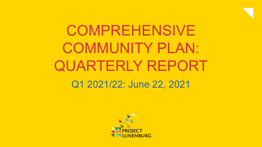

# **COMPREHENSIVE** COMMUNITY PLAN: QUARTERLY REPORT Q1 2021/22: June 22, 2021

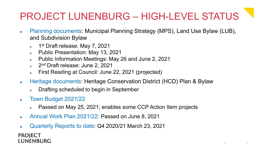## PROJECT LUNENBURG – HIGH-LEVEL STATUS

uture, Together.

- Planning documents: Municipal Planning Strategy (MPS), Land Use Bylaw (LUB), and Subdivision Bylaw
	- ► 1<sup>st</sup> Draft release: May 7, 2021
	- ► Public Presentation: May 13, 2021
	- ► Public Information Meetings: May 26 and June 2, 2021
	- 2<sup>nd</sup> Draft release: June 2, 2021
	- First Reading at Council: June 22, 2021 (projected)
- ► Heritage documents: Heritage Conservation District (HCD) Plan & Bylaw
	- Drafting scheduled to begin in September
- ► Town Budget 2021/22
	- Passed on May 25, 2021; enables some CCP Action Item projects
- ► Annual Work Plan 2021/22: Passed on June 8, 2021
- ► Quarterly Reports to date: Q4 2020/21 March 23, 2021

**PROJECT** LUNENBURG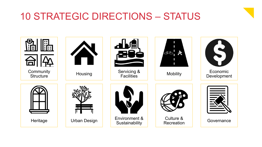### 10 STRATEGIC DIRECTIONS – STATUS

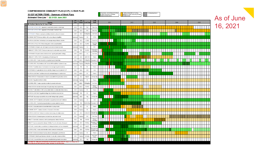#### **COMPREHENSIVE COMMUNITY PLAN (CCP) | 5-YEAR PLAN**

35 CCP ACTION ITEMS - Summary of Work Plans

Estimated Time Line \*\* Q2 21/22: June 2021

|                         | <b>Activity</b>                                                                                                                                       |                 | <b>Lst</b><br><b>Lst</b><br>Finish<br><b>Start</b> |               | Lead<br><b>Staff</b>            | 2021 |  |  | 2022 |  |  | 2023 |  |  |  | 2024 |  |  |  | 2025 |  |  |  |  |  |  |  |  |
|-------------------------|-------------------------------------------------------------------------------------------------------------------------------------------------------|-----------------|----------------------------------------------------|---------------|---------------------------------|------|--|--|------|--|--|------|--|--|--|------|--|--|--|------|--|--|--|--|--|--|--|--|
|                         | 35 Action Items for 5-Year Plan'                                                                                                                      |                 |                                                    |               |                                 |      |  |  |      |  |  |      |  |  |  |      |  |  |  |      |  |  |  |  |  |  |  |  |
| $\overline{1}$          | SERMCING & FACILITIES: Upgrades to wastewater collection & discharge                                                                                  | 2019            | 2025                                               | PW            | Town Eng                        |      |  |  |      |  |  |      |  |  |  |      |  |  |  |      |  |  |  |  |  |  |  |  |
| $\overline{c}$          | SER VICING & FACILITIES: Upgrades to Wastewater Treatment Plant                                                                                       | 2021            | 2025                                               | PW            | Town Eng                        |      |  |  |      |  |  |      |  |  |  |      |  |  |  |      |  |  |  |  |  |  |  |  |
| $\overline{\mathbf{3}}$ | 3OVERNANCE: Reform municipal committees to build a culture of inclusion                                                                               | 2021            | 2022                                               | D/Htg/Re      | Asst Clerk                      |      |  |  |      |  |  |      |  |  |  |      |  |  |  |      |  |  |  |  |  |  |  |  |
| $\overline{4}$          | ECONOMIC DEVT: Enhance relations with surrounding municipalities                                                                                      | <b>Underwar</b> | Ongoing                                            | cs.           | CAO/As                          |      |  |  |      |  |  |      |  |  |  |      |  |  |  |      |  |  |  |  |  |  |  |  |
| $\overline{5}$          | ENVIRON & SUSTAIN: Partnerships to encourage energy efficiency retrofits                                                                              | 2021            | 2022                                               | CS/EU         | Finance Di                      |      |  |  |      |  |  |      |  |  |  |      |  |  |  |      |  |  |  |  |  |  |  |  |
|                         | SERVICING & FACILITIES: Plan for long-term of all municipal facilities                                                                                | 2021            | 2023                                               | <b>EU PW</b>  | Town Eng/<br>Facilities         |      |  |  |      |  |  |      |  |  |  |      |  |  |  |      |  |  |  |  |  |  |  |  |
| $\overline{7}$          | GOVERNANCE: Deepen work with region re provision of shared services                                                                                   | Underwar        | Ongoing                                            | CS.           | CAO                             |      |  |  |      |  |  |      |  |  |  |      |  |  |  |      |  |  |  |  |  |  |  |  |
|                         | COMMUNITY STRUCTURE: Study and planning for sustainable energy district                                                                               | 2021            | TBD                                                | <b>EU /PW</b> | Finance Did<br>Town Eng         |      |  |  |      |  |  |      |  |  |  |      |  |  |  |      |  |  |  |  |  |  |  |  |
|                         | GOVERNANCE: Expand communications to incl. a public participation strategy                                                                            | 2021            | $2022 +$                                           | cs            | Asst Clerk                      |      |  |  |      |  |  |      |  |  |  |      |  |  |  |      |  |  |  |  |  |  |  |  |
| 10                      | COMMUNITY STRUCTURE: Site planning for Blockhouse Hill                                                                                                | 2021            | 2024                                               | LBOT/PD       | Planner                         |      |  |  |      |  |  |      |  |  |  |      |  |  |  |      |  |  |  |  |  |  |  |  |
| 11                      | CULTURE & REC: Foster inclusivity in programming and leadership                                                                                       | 2021            | $2022 -$                                           | CS/Htg/R      | Recreation                      |      |  |  |      |  |  |      |  |  |  |      |  |  |  |      |  |  |  |  |  |  |  |  |
| 12                      | CULTURE & REC: Build relations with Town and Mi'kmaq/Black residents & orgs                                                                           | <b>Underwa</b>  | Ongoing                                            | CS/Htg/R      | Asst Clerk                      |      |  |  |      |  |  |      |  |  |  |      |  |  |  |      |  |  |  |  |  |  |  |  |
| 13                      | HOUSING: Feasibility study of mechanisms to encourage long-term residency                                                                             | 2022            | TBD                                                | PD.           | Planner                         |      |  |  |      |  |  |      |  |  |  |      |  |  |  |      |  |  |  |  |  |  |  |  |
|                         | 14 GOVERNANCE: Organizational review to identify changes req. to implement CCP                                                                        | 2021            | 2022                                               | C AO          | CAO                             |      |  |  |      |  |  |      |  |  |  |      |  |  |  |      |  |  |  |  |  |  |  |  |
|                         | 15 ENVIRON & SUSTAIN: Facilitate community learning/dialogue re sea level rise                                                                        | 2023            | $2024 +$                                           | PD            | Planner                         |      |  |  |      |  |  |      |  |  |  |      |  |  |  |      |  |  |  |  |  |  |  |  |
|                         | 16 URBAN DESIGN: Policies/actions to improve accessibility throughout town (2022)                                                                     | 2021            | 2022                                               | Htg/PD        | Heritage Mg                     |      |  |  |      |  |  |      |  |  |  |      |  |  |  |      |  |  |  |  |  |  |  |  |
|                         | 17 HOUSING: Regulate short-term rentals                                                                                                               | Underwa         | Ongoing                                            | PD.           | Planner                         |      |  |  |      |  |  |      |  |  |  |      |  |  |  |      |  |  |  |  |  |  |  |  |
|                         | 18 CULTURE & REC: Create a special committee to promote anti-racism                                                                                   | 2021            | $2022 +$                                           | CR Htg/Re     | Asst Clerk                      |      |  |  |      |  |  |      |  |  |  |      |  |  |  |      |  |  |  |  |  |  |  |  |
|                         | 19 URBAN DESIGN: Activate streetscapes through design and programming                                                                                 | 2021            | $2022 +$                                           | PD /PW        | Planner/<br>Town Eng            |      |  |  |      |  |  |      |  |  |  |      |  |  |  |      |  |  |  |  |  |  |  |  |
|                         | 20 HOUSING: Foster relations with housing stakeholders re collaboration/data sharing                                                                  | 2021            | Ongoing                                            | PD            | Planner                         |      |  |  |      |  |  |      |  |  |  |      |  |  |  |      |  |  |  |  |  |  |  |  |
|                         | 21 ENVIRON & SUSTAIN: Regulate buildings near shoreline re sea level rise                                                                             | Underwa         | TBD                                                | PD            | Planner                         |      |  |  |      |  |  |      |  |  |  |      |  |  |  |      |  |  |  |  |  |  |  |  |
|                         | 22 HERITAGE: Encourage accessibility and provide heritage design guidance                                                                             | Underway        | 2023                                               | Htg           | Heritage Mg                     |      |  |  |      |  |  |      |  |  |  |      |  |  |  |      |  |  |  |  |  |  |  |  |
|                         | 23 ECONOMIC DEVT: Establish a staff position to support economic dev't initiatives                                                                    | 2021            | Ongoing                                            | cs.           | CAO                             |      |  |  |      |  |  |      |  |  |  |      |  |  |  |      |  |  |  |  |  |  |  |  |
|                         | 24 CULTURE & REC: Partnerships/opportunities to increase waterfront access                                                                            | 2021            | TBD                                                | <b>D</b> PWR  | Recreation                      |      |  |  |      |  |  |      |  |  |  |      |  |  |  |      |  |  |  |  |  |  |  |  |
|                         | 25 HOUSING: Study/policy/actions toward alternative housing models                                                                                    | 2021            | 2022                                               | PD            | Planner                         |      |  |  |      |  |  |      |  |  |  |      |  |  |  |      |  |  |  |  |  |  |  |  |
|                         | 26 ECONOMIC DEVT: Create an inventory of economic information                                                                                         | 2024            | Ongoing                                            | PD            | Planner                         |      |  |  |      |  |  |      |  |  |  |      |  |  |  |      |  |  |  |  |  |  |  |  |
|                         | 27 ENVIRON & SUSTAIN: Policies for wind and solar energy at multiple scales                                                                           | 2021'           | 2022                                               | CS/EU/PV      | lanner/Finar<br>Dir/Town Er     |      |  |  |      |  |  |      |  |  |  |      |  |  |  |      |  |  |  |  |  |  |  |  |
|                         | 28 URBAN DESIGN: Policies/programs for street trees and urban forest                                                                                  | 2022            | Ongoing                                            | PW            | Town Eng                        |      |  |  |      |  |  |      |  |  |  |      |  |  |  |      |  |  |  |  |  |  |  |  |
|                         | 29 MOBILITY: Newvisitor, employee, and bus parking areas outside Old Town                                                                             | 2022            | TBD                                                | PW/PD         | Planner/<br>Town Eng            |      |  |  |      |  |  |      |  |  |  |      |  |  |  |      |  |  |  |  |  |  |  |  |
|                         | 30 MOBILITY: Improve connectivity between Old/New Town for all modes of transport                                                                     | 2021            | 2023                                               | PW/Rec        | ecreation D<br>Town Eng         |      |  |  |      |  |  |      |  |  |  |      |  |  |  |      |  |  |  |  |  |  |  |  |
|                         | 31 HERITAGE: Accommodate newadditions to heritage structures such as solar panels                                                                     | Underway        | 2023                                               | Htg/PD        | Heritage Mgr                    |      |  |  |      |  |  |      |  |  |  |      |  |  |  |      |  |  |  |  |  |  |  |  |
|                         | 32 CULTURE & REC: Assess arts/recreation facility needs and develop plan                                                                              | 2021            | 2025                                               | PDRec         | Recreation D<br>Facilities Supe |      |  |  |      |  |  |      |  |  |  |      |  |  |  |      |  |  |  |  |  |  |  |  |
|                         | 33 HOUSING: Monitor and analyze housing demand, demographics, dev't trends                                                                            | 2021            | Ongoing                                            | PD            | Planner                         |      |  |  |      |  |  |      |  |  |  |      |  |  |  |      |  |  |  |  |  |  |  |  |
|                         | 34 GOVERNANCE: Identify performance indicators to annually evaluate activities                                                                        | 2021            | Ongoing                                            | All Depts     | Asst Clerk/<br>Planner          |      |  |  |      |  |  |      |  |  |  |      |  |  |  |      |  |  |  |  |  |  |  |  |
| $35\,$                  | HERITAGE: Ensure infiltheware visually compatible/distinguishable from historic                                                                       | Underway        | 2022                                               | Htg           | Heritage Mgr                    |      |  |  |      |  |  |      |  |  |  |      |  |  |  |      |  |  |  |  |  |  |  |  |
|                         | ESTIMATED TIMELINE DEPENDENT ON RESOURCE AVAILABILITY. Subject to change due to<br>ourcing and as interconnected actions develop over the five years. |                 |                                                    |               |                                 |      |  |  |      |  |  |      |  |  |  |      |  |  |  |      |  |  |  |  |  |  |  |  |

= in process, but will require funding<br>or other resources to complete;<br>shades indicate phases

= start up dependant on funding,<br>legislative or other resources; shades<br>indicate phases

overlapping phases

⋿

As of June

16, 2021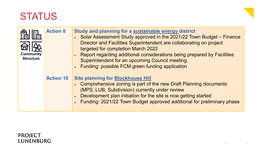



| $\blacksquare$<br><b>Community</b><br><b>Structure</b> | <b>Action 8</b>  | Study and planning for a sustainable energy district<br>Solar Assessment Study approved in the 2021/22 Town Budget - Finance<br>Director and Facilities Superintendent are collaborating on project<br>targeted for completion March 2022<br>Report regarding additional considerations being prepared by Facilities<br><b>Superintendent for an upcoming Council meeting</b><br>Funding: possible FCM green funding application |
|--------------------------------------------------------|------------------|----------------------------------------------------------------------------------------------------------------------------------------------------------------------------------------------------------------------------------------------------------------------------------------------------------------------------------------------------------------------------------------------------------------------------------|
|                                                        | <b>Action 10</b> | <b>Site planning for Blockhouse Hill</b><br>Comprehensive zoning is part of the new Draft Planning documents<br>(MPS, LUB, Subdivision) currently under review<br>Development plan initiation for the site is now getting started<br>Funding: 2021/22 Town Budget approved additional for preliminary phase                                                                                                                      |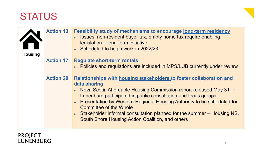| <b>Housing</b> | <b>Action 13</b> | <b>Feasibility study of mechanisms to encourage long-term residency</b><br>Sultimer Issues: non-resident buyer tax, empty home tax require enabling<br>legislation - long-term initiative<br>Scheduled to begin work in 2022/23                                                                                                                                                                                                                                                 |
|----------------|------------------|---------------------------------------------------------------------------------------------------------------------------------------------------------------------------------------------------------------------------------------------------------------------------------------------------------------------------------------------------------------------------------------------------------------------------------------------------------------------------------|
|                | <b>Action 17</b> | <b>Regulate short-term rentals</b><br>► Policies and regulations are included in MPS/LUB currently under review                                                                                                                                                                                                                                                                                                                                                                 |
|                | <b>Action 20</b> | Relationships with housing stakeholders to foster collaboration and<br>data sharing<br>► Nova Scotia Affordable Housing Commission report released May 31 –<br>Lunenburg participated in public consultation and focus groups<br><b>Presentation by Western Regional Housing Authority to be scheduled for</b><br><b>Committee of the Whole</b><br>Stakeholder informal consultation planned for the summer $-$ Housing NS,<br>South Shore Housing Action Coalition, and others |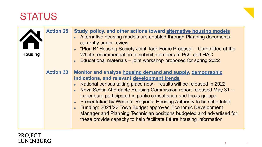| <b>Housing</b> | <b>Action 25</b> | Study, policy, and other actions toward alternative housing models<br>Alternative housing models are enabled through Planning documents<br>currently under review<br>• "Plan B" Housing Society Joint Task Force Proposal – Committee of the<br>Whole recommendation to submit members to PAC and HAC<br>Educational materials - joint workshop proposed for spring 2022                                                                                                                                                                                                                                                   |
|----------------|------------------|----------------------------------------------------------------------------------------------------------------------------------------------------------------------------------------------------------------------------------------------------------------------------------------------------------------------------------------------------------------------------------------------------------------------------------------------------------------------------------------------------------------------------------------------------------------------------------------------------------------------------|
|                | <b>Action 33</b> | Monitor and analyze housing demand and supply, demographic<br>indications, and relevant development trends<br>► National census taking place now – results will be released in 2022<br>► Nova Scotia Affordable Housing Commission report released May 31 –<br>Lunenburg participated in public consultation and focus groups<br><b>Presentation by Western Regional Housing Authority to be scheduled</b><br>Funding: 2021/22 Town Budget approved Economic Development<br>Manager and Planning Technician positions budgeted and advertised for;<br>these provide capacity to help facilitate future housing information |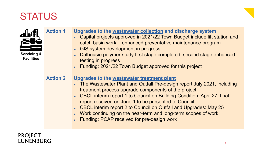



| <b>Servicing &amp;</b><br><b>Facilities</b> | <b>Action 1</b> | Upgrades to the wastewater collection and discharge system<br>► Capital projects approved in 2021/22 Town Budget include lift station and<br>catch basin work - enhanced preventative maintenance program<br>GIS system development in progress<br>Dalhousie polymer study first stage completed; second stage enhanced<br>testing in progress<br>Funding: 2021/22 Town Budget approved for this project                                                                                                      |
|---------------------------------------------|-----------------|---------------------------------------------------------------------------------------------------------------------------------------------------------------------------------------------------------------------------------------------------------------------------------------------------------------------------------------------------------------------------------------------------------------------------------------------------------------------------------------------------------------|
|                                             | <b>Action 2</b> | Upgrades to the wastewater treatment plant<br>The Wastewater Plant and Outfall Pre-design report July 2021, including<br>treatment process upgrade components of the project<br>► CBCL interim report 1 to Council on Building Condition: April 27; final<br>report received on June 1 to be presented to Council<br><b>CBCL interim report 2 to Council on Outfall and Upgrades: May 25</b><br>► Work continuing on the near-term and long-term scopes of work<br>Funding: PCAP received for pre-design work |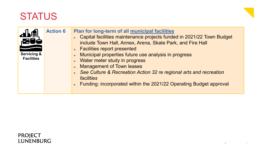| <b>Action 6</b><br>Plan for long-term of all municipal facilities<br>Capital facilities maintenance projects funded in 2021/22 Town Budget<br>include Town Hall, Annex, Arena, Skate Park, and Fire Hall<br><b>Facilities report presented</b><br><b>Servicing &amp;</b><br>Municipal properties future use analysis in progress<br>$\blacktriangleright$<br><b>Facilities</b><br>Water meter study in progress<br>$\blacktriangleright$<br><b>Management of Town leases</b><br>See Culture & Recreation Action 32 re regional arts and recreation<br><b>facilities</b><br>Funding: incorporated within the 2021/22 Operating Budget approval |  |
|-----------------------------------------------------------------------------------------------------------------------------------------------------------------------------------------------------------------------------------------------------------------------------------------------------------------------------------------------------------------------------------------------------------------------------------------------------------------------------------------------------------------------------------------------------------------------------------------------------------------------------------------------|--|
|-----------------------------------------------------------------------------------------------------------------------------------------------------------------------------------------------------------------------------------------------------------------------------------------------------------------------------------------------------------------------------------------------------------------------------------------------------------------------------------------------------------------------------------------------------------------------------------------------------------------------------------------------|--|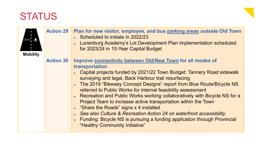

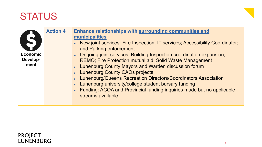| <b>Economic</b><br>Develop-<br>ment | <b>Action 4</b> | Enhance relationships with surrounding communities and<br>municipalities<br>► New joint services: Fire Inspection; IT services; Accessibility Coordinator;<br>and Parking enforcement<br>▶ Ongoing joint services: Building Inspection coordination expansion;<br><b>REMO; Fire Protection mutual aid; Solid Waste Management</b><br>Lunenburg County Mayors and Warden discussion forum<br>Lunenburg County CAOs projects<br><b>Lunenburg/Queens Recreation Directors/Coordinators Association</b><br>Lunenburg university/college student bursary funding<br>Funding: ACOA and Provincial funding inquiries made but no applicable |
|-------------------------------------|-----------------|--------------------------------------------------------------------------------------------------------------------------------------------------------------------------------------------------------------------------------------------------------------------------------------------------------------------------------------------------------------------------------------------------------------------------------------------------------------------------------------------------------------------------------------------------------------------------------------------------------------------------------------|
|                                     |                 | streams available                                                                                                                                                                                                                                                                                                                                                                                                                                                                                                                                                                                                                    |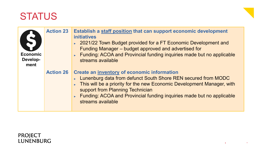| <b>Economic</b><br>Develop-<br>ment | <b>Action 23</b> | Establish a staff position that can support economic development<br><b>initiatives</b><br>► 2021/22 Town Budget provided for a FT Economic Development and<br>Funding Manager – budget approved and advertised for<br>Funding: ACOA and Provincial funding inquiries made but no applicable<br>streams available           |
|-------------------------------------|------------------|----------------------------------------------------------------------------------------------------------------------------------------------------------------------------------------------------------------------------------------------------------------------------------------------------------------------------|
|                                     | <b>Action 26</b> | Create an inventory of economic information<br>► Lunenburg data from defunct South Shore REN secured from MODC<br>This will be a priority for the new Economic Development Manager, with<br>support from Planning Technician<br>Funding: ACOA and Provincial funding inquiries made but no applicable<br>streams available |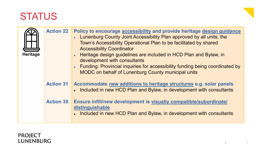| <b>Heritage</b> | <b>Action 22</b> | Policy to encourage accessibility and provide heritage design guidance<br>► Lunenburg County Joint Accessibility Plan approved by all units; the<br>Town's Accessibility Operational Plan to be facilitated by shared<br><b>Accessibility Coordinator</b><br>► Heritage design guidelines are included in HCD Plan and Bylaw, in<br>development with consultants<br>► Funding: Provincial inquiries for accessibility funding being coordinated by<br><b>MODC</b> on behalf of Lunenburg County municipal units |
|-----------------|------------------|-----------------------------------------------------------------------------------------------------------------------------------------------------------------------------------------------------------------------------------------------------------------------------------------------------------------------------------------------------------------------------------------------------------------------------------------------------------------------------------------------------------------|
|                 | <b>Action 31</b> | Accommodate new additions to heritage structures e.g. solar panels<br>Included in new HCD Plan and Bylaw, in development with consultants                                                                                                                                                                                                                                                                                                                                                                       |
|                 | <b>Action 35</b> | Ensure infill/new development is visually compatible/subordinate/<br>distinguishable<br>Included in new HCD Plan and Bylaw, in development with consultants                                                                                                                                                                                                                                                                                                                                                     |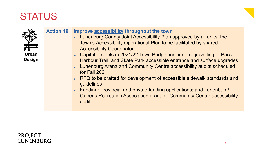



|               | <b>Action 16</b> | Improve accessibility throughout the town<br>► Lunenburg County Joint Accessibility Plan approved by all units; the<br>Town's Accessibility Operational Plan to be facilitated by shared |
|---------------|------------------|------------------------------------------------------------------------------------------------------------------------------------------------------------------------------------------|
|               |                  | <b>Accessibility Coordinator</b>                                                                                                                                                         |
| <b>Urban</b>  |                  | ► Capital projects in 2021/22 Town Budget include: re-gravelling of Back                                                                                                                 |
| <b>Design</b> |                  | Harbour Trail; and Skate Park accessible entrance and surface upgrades<br>► Lunenburg Arena and Community Centre accessibility audits scheduled<br>for Fall 2021                         |
|               |                  | ► RFQ to be drafted for development of accessible sidewalk standards and<br>guidelines                                                                                                   |
|               |                  | Funding: Provincial and private funding applications; and Lunenburg/<br>Queens Recreation Association grant for Community Centre accessibility<br>audit                                  |

#### **PROJECT** LUNENBURG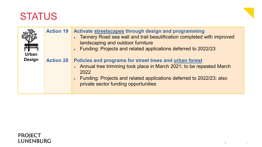

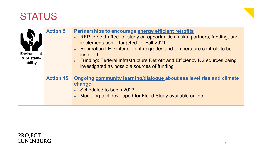| <b>Environment</b><br>& Sustain-<br>ability | <b>Action 5</b>  | Partnerships to encourage energy efficient retrofits<br>RFP to be drafted for study on opportunities, risks, partners, funding, and<br>implementation - targeted for Fall 2021<br>Recreation LED interior light upgrades and temperature controls to be<br><i>installed</i><br>Funding: Federal Infrastructure Retrofit and Efficiency NS sources being<br>investigated as possible sources of funding |
|---------------------------------------------|------------------|--------------------------------------------------------------------------------------------------------------------------------------------------------------------------------------------------------------------------------------------------------------------------------------------------------------------------------------------------------------------------------------------------------|
|                                             | <b>Action 15</b> | Ongoing community learning/dialogue about sea level rise and climate<br>change<br>Scheduled to begin 2023<br>Modeling tool developed for Flood Study available online                                                                                                                                                                                                                                  |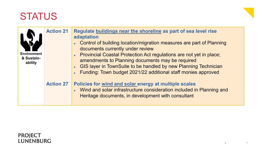| <b>Environment</b><br>& Sustain-<br>ability | <b>Action 21</b> | Regulate buildings near the shoreline as part of sea level rise<br>adaptation<br>• Control of building location/migration measures are part of Planning<br>documents currently under review<br>▶ Provincial Coastal Protection Act regulations are not yet in place;<br>amendments to Planning documents may be required<br>GIS layer in TownSuite to be handled by new Planning Technician<br>Funding: Town budget 2021/22 additional staff monies approved |
|---------------------------------------------|------------------|--------------------------------------------------------------------------------------------------------------------------------------------------------------------------------------------------------------------------------------------------------------------------------------------------------------------------------------------------------------------------------------------------------------------------------------------------------------|
|                                             | <b>Action 27</b> | Policies for wind and solar energy at multiple scales<br>► Wind and solar infrastructure consideration included in Planning and<br>Heritage documents, in development with consultant                                                                                                                                                                                                                                                                        |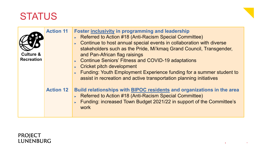

| <b>Culture &amp;</b><br><b>Recreation</b> | <b>Action 11</b> | <b>Foster inclusivity in programming and leadership</b><br>► Referred to Action #18 (Anti-Racism Special Committee)<br>Continue to host annual special events in collaboration with diverse<br>stakeholders such as the Pride, Mi'kmaq Grand Council, Transgender,<br>and Pan-African flag raisings<br>Continue Seniors' Fitness and COVID-19 adaptations<br>$\triangleright$ Cricket pitch development<br>Funding: Youth Employment Experience funding for a summer student to<br>assist in recreation and active transportation planning initiatives |
|-------------------------------------------|------------------|--------------------------------------------------------------------------------------------------------------------------------------------------------------------------------------------------------------------------------------------------------------------------------------------------------------------------------------------------------------------------------------------------------------------------------------------------------------------------------------------------------------------------------------------------------|
|                                           | <b>Action 12</b> | Build relationships with BIPOC residents and organizations in the area<br>▶ Referred to Action #18 (Anti-Racism Special Committee)<br>Funding: increased Town Budget 2021/22 in support of the Committee's<br>work                                                                                                                                                                                                                                                                                                                                     |

## PROJECT<br>LUNENBURG

uture, Together.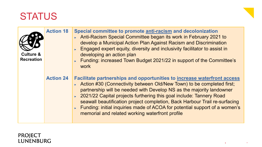| <b>Culture &amp;</b><br><b>Recreation</b> | <b>Action 18</b> | Special committee to promote anti-racism and decolonization<br>Anti-Racism Special Committee began its work in February 2021 to<br>develop a Municipal Action Plan Against Racism and Discrimination<br>Engaged expert equity, diversity and inclusivity facilitator to assist in<br>developing an action plan<br>Funding: increased Town Budget 2021/22 in support of the Committee's<br>work                                                                                                                            |
|-------------------------------------------|------------------|---------------------------------------------------------------------------------------------------------------------------------------------------------------------------------------------------------------------------------------------------------------------------------------------------------------------------------------------------------------------------------------------------------------------------------------------------------------------------------------------------------------------------|
|                                           | <b>Action 24</b> | <b>Facilitate partnerships and opportunities to increase waterfront access</b><br>► Action #30 (Connectivity between Old/New Town) to be completed first;<br>partnership will be needed with Develop NS as the majority landowner<br>► 2021/22 Capital projects furthering this goal include: Tannery Road<br>seawall beautification project completion, Back Harbour Trail re-surfacing<br>Funding: initial inquiries made of ACOA for potential support of a women's<br>memorial and related working waterfront profile |

#### PROJECT LUNENBURG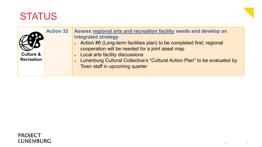

| <b>Culture &amp;</b><br><b>Recreation</b> | <b>Action 32</b> | Assess regional arts and recreation facility needs and develop an<br>integrated strategy<br>Action #6 (Long-term facilities plan) to be completed first; regional<br>cooperation will be needed for a joint asset map<br><b>Local arts facility discussions</b><br>Lunenburg Cultural Collective's "Cultural Action Plan" to be evaluated by<br>Town staff in upcoming quarter |
|-------------------------------------------|------------------|--------------------------------------------------------------------------------------------------------------------------------------------------------------------------------------------------------------------------------------------------------------------------------------------------------------------------------------------------------------------------------|
|-------------------------------------------|------------------|--------------------------------------------------------------------------------------------------------------------------------------------------------------------------------------------------------------------------------------------------------------------------------------------------------------------------------------------------------------------------------|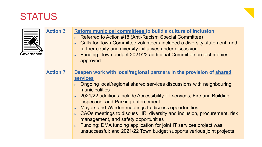

| Governance | <b>Action 3</b> | Reform municipal committees to build a culture of inclusion<br>► Referred to Action #18 (Anti-Racism Special Committee)<br>► Calls for Town Committee volunteers included a diversity statement; and<br>further equity and diversity initiatives under discussion<br>Funding: Town budget 2021/22 additional Committee project monies<br>approved                                                                                                                                                                                                                                                                                 |
|------------|-----------------|-----------------------------------------------------------------------------------------------------------------------------------------------------------------------------------------------------------------------------------------------------------------------------------------------------------------------------------------------------------------------------------------------------------------------------------------------------------------------------------------------------------------------------------------------------------------------------------------------------------------------------------|
|            | <b>Action 7</b> | Deepen work with local/regional partners in the provision of shared<br><b>services</b><br>• Ongoing local/regional shared services discussions with neighbouring<br>municipalities<br>▶ 2021/22 additions include Accessibility, IT services, Fire and Building<br>inspection, and Parking enforcement<br>Mayors and Warden meetings to discuss opportunities<br>• CAOs meetings to discuss HR, diversity and inclusion, procurement, risk<br>management, and safety opportunities<br>Funding: DMA funding application for joint IT services project was<br>unsuccessful; and 2021/22 Town budget supports various joint projects |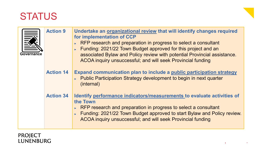| Governance | <b>Action 9</b>  | Undertake an organizational review that will identify changes required<br>for implementation of CCP<br>RFP research and preparation in progress to select a consultant<br>Funding: 2021/22 Town Budget approved for this project and an<br>associated Bylaw and Policy review with potential Provincial assistance.<br>ACOA inquiry unsuccessful; and will seek Provincial funding |  |
|------------|------------------|------------------------------------------------------------------------------------------------------------------------------------------------------------------------------------------------------------------------------------------------------------------------------------------------------------------------------------------------------------------------------------|--|
|            | <b>Action 14</b> | Expand communication plan to include a public participation strategy<br>► Public Participation Strategy development to begin in next quarter<br>(internal)                                                                                                                                                                                                                         |  |
|            | <b>Action 34</b> | Identify performance indicators/measurements to evaluate activities of<br>the Town<br>RFP research and preparation in progress to select a consultant<br>Funding: 2021/22 Town Budget approved to start Bylaw and Policy review.<br>ACOA inquiry unsuccessful; and will seek Provincial funding                                                                                    |  |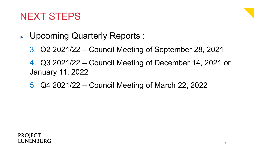## NEXT STEPS

- ► Upcoming Quarterly Reports :
	- 3. Q2 2021/22 Council Meeting of September 28, 2021
	- 4. Q3 2021/22 Council Meeting of December 14, 2021 or January 11, 2022
	- 5. Q4 2021/22 Council Meeting of March 22, 2022